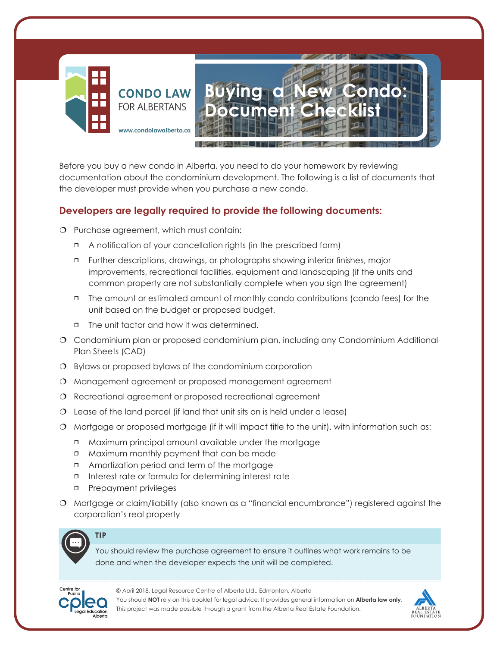

Before you buy a new condo in Alberta, you need to do your homework by reviewing documentation about the condominium development. The following is a list of documents that the developer must provide when you purchase a new condo.

## **Developers are legally required to provide the following documents:**

- O Purchase agreement, which must contain:
	- A notification of your cancellation rights (in the prescribed form)
	- Further descriptions, drawings, or photographs showing interior finishes, major improvements, recreational facilities, equipment and landscaping (if the units and common property are not substantially complete when you sign the agreement)
	- The amount or estimated amount of monthly condo contributions (condo fees) for the unit based on the budget or proposed budget.
	- □ The unit factor and how it was determined.
- Condominium plan or proposed condominium plan, including any Condominium Additional Plan Sheets (CAD)
- Bylaws or proposed bylaws of the condominium corporation
- Management agreement or proposed management agreement
- Recreational agreement or proposed recreational agreement
- Lease of the land parcel (if land that unit sits on is held under a lease)
- O Mortgage or proposed mortgage (if it will impact title to the unit), with information such as:
	- Maximum principal amount available under the mortgage
	- Maximum monthly payment that can be made
	- □ Amortization period and term of the mortgage
	- Interest rate or formula for determining interest rate
	- **Prepayment privileges**
- Mortgage or claim/liability (also known as a "financial encumbrance") registered against the corporation's real property



**TIP**

You should review the purchase agreement to ensure it outlines what work remains to be done and when the developer expects the unit will be completed.



© April 2018, Legal Resource Centre of Alberta Ltd., Edmonton, Alberta You should **NOT** rely on this booklet for legal advice. It provides general information on **Alberta law only**. This project was made possible through a grant from the Alberta Real Estate Foundation.